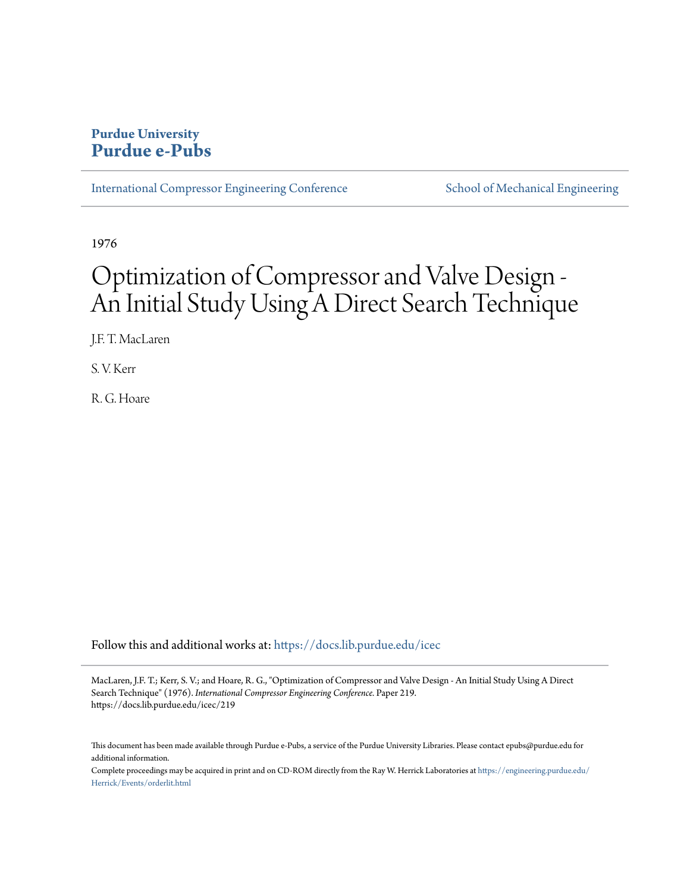# **Purdue University [Purdue e-Pubs](https://docs.lib.purdue.edu?utm_source=docs.lib.purdue.edu%2Ficec%2F219&utm_medium=PDF&utm_campaign=PDFCoverPages)**

[International Compressor Engineering Conference](https://docs.lib.purdue.edu/icec?utm_source=docs.lib.purdue.edu%2Ficec%2F219&utm_medium=PDF&utm_campaign=PDFCoverPages) [School of Mechanical Engineering](https://docs.lib.purdue.edu/me?utm_source=docs.lib.purdue.edu%2Ficec%2F219&utm_medium=PDF&utm_campaign=PDFCoverPages)

1976

# Optimization of Compressor and Valve Design - An Initial Study Using A Direct Search Technique

J.F. T. MacLaren

S. V. Kerr

R. G. Hoare

Follow this and additional works at: [https://docs.lib.purdue.edu/icec](https://docs.lib.purdue.edu/icec?utm_source=docs.lib.purdue.edu%2Ficec%2F219&utm_medium=PDF&utm_campaign=PDFCoverPages)

MacLaren, J.F. T.; Kerr, S. V.; and Hoare, R. G., "Optimization of Compressor and Valve Design - An Initial Study Using A Direct Search Technique" (1976). *International Compressor Engineering Conference.* Paper 219. https://docs.lib.purdue.edu/icec/219

This document has been made available through Purdue e-Pubs, a service of the Purdue University Libraries. Please contact epubs@purdue.edu for additional information.

Complete proceedings may be acquired in print and on CD-ROM directly from the Ray W. Herrick Laboratories at [https://engineering.purdue.edu/](https://engineering.purdue.edu/Herrick/Events/orderlit.html) [Herrick/Events/orderlit.html](https://engineering.purdue.edu/Herrick/Events/orderlit.html)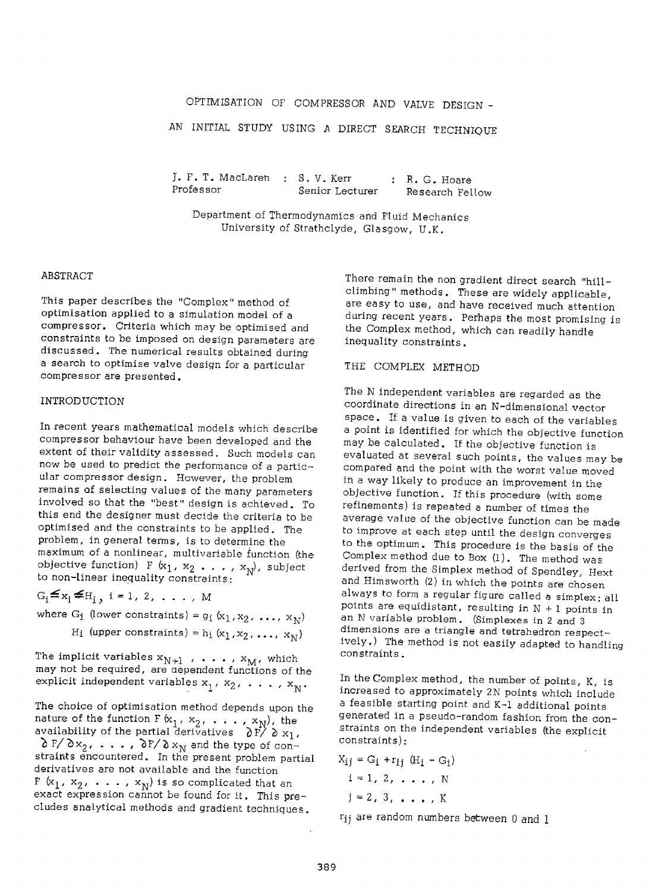# OPTIMISATION OF COMPRESSOR AND VALVE DESIGN -

AN INITIAL STUDY USING A DIRECT SEARCH TECHNIQUE

J. F. T. MacLaren S. V. Kerr Professor Senior Lecturer R. G. Hoare Research Fellow

Department of Thermodynamics and Fluid Mechanics University of Strathclyde, Glasgow, U.K.

#### ABSTRACT

This paper describes the "Complex" method of optimisation applied to a simulation model of <sup>a</sup> compressor. Criteria which *may* be optimised and constraints to be imposed on design parameters are discussed. The numerical results obtained during <sup>a</sup>search to optimise valve design for a particular compressor are presented.

### INTRODUCTION

In recent years mathematical models which describe compressor behaviour have been developed and the extent of their validity assessed. Such models can now be used to predict the performance of a particular compressor design. However, the problem remains of selecting values of the many parameters involved so that the "best" design is achieved. To this end the designer must decide the criteria to be optimised and the constraints to be applied. The problem, in general terms, is to determine the maximum of a nonlinear, multivariable function (the objective function) F  $(x_1, x_2, \ldots, x_N)$ , subject to non-linear inequality constraints:

 $G_i \leq x_i \leq H_i$ , i = 1, 2, . . . , M

where G<sub>1</sub> (lower constraints) =  $g_i(x_1, x_2, ..., x_N)$ H<sub>i</sub> (upper constraints) =  $h_i$  (x<sub>1</sub>, x<sub>2</sub>, ..., x<sub>N</sub>)

The implicit variables  $\mathrm{x_{N+1}}$  ,  $\ldots$  ,  $\mathrm{x_{M}}$ , which may not be required, are dependent functions of the explicit independent variables  $x_1, x_2, \ldots, x_N$ .

The choice of optimisation method depends upon the nature of the function F ( $\mathrm{x}_1$  ,  $\mathrm{x}_2$  ,  $\;\ldots\;$  ,  $\mathrm{x}_\mathrm{N}$ ), the availability of the partial derivatives  $\partial$  F/  $\partial$  x<sub>1</sub>,  $\delta$  F/ $\delta$ x<sub>2</sub>, ...,  $\delta$ F/ $\delta$ x<sub>N</sub> and the type of constraints encountered. In the present problem partial derivatives are not available and the function F  $(x_1, x_2, \ldots, x_N)$  is so complicated that an exact expression cannot be found for it. This precludes analytical methods and gradient techniques.

There remain the non gradient direct search "hillclimbing" methods. These are widely applicable, are easy to use, and have received much attention during recent years. Perhaps the most promising is the Complex method, which can readily handle inequality constraints.

# THE COMPLEX METHOD

The N independent variables are regarded as the coordinate directions in an N -dimensional vector space. If a value is given to each of the variables <sup>a</sup>point is identified for which the objective function *may* be calculated. If the objective function is evaluated at several such points, the values may be compared and the point with the worst value moved in <sup>a</sup>way likely to produce an improvement in the objective function. If this procedure (with some refinements) is repeated a number of times the average value of the objective function can be made to improve at each step until the design converges to the optimum. This procedure is the basis of the Complex method due to Box (l). The method was derived from the Simplex method of Spendley, Hext and Himsworth (2) in which the points are chosen always to form a regular figure called a simplex: all points are equidistant, resulting in  $N + 1$  points in an N variable problem. (Simplexes in 2 and <sup>3</sup> dimensions are a triangle and tetrahedron respectively.) The method is not easily adapted to handling constraints.

In the Complex method, the number of points, K, is increased to approximately 2N points which include <sup>a</sup>feasible starting point and K-1 additional points generated in a pseudo-random fashion from the constraints on the independent variables (the explicit constraints):

$$
X_{ij} = G_i + r_{ij} (H_i - G_i)
$$
  
\n $i = 1, 2, ..., N$   
\n $j = 2, 3, ..., K$ 

fij are random numbers between 0 and I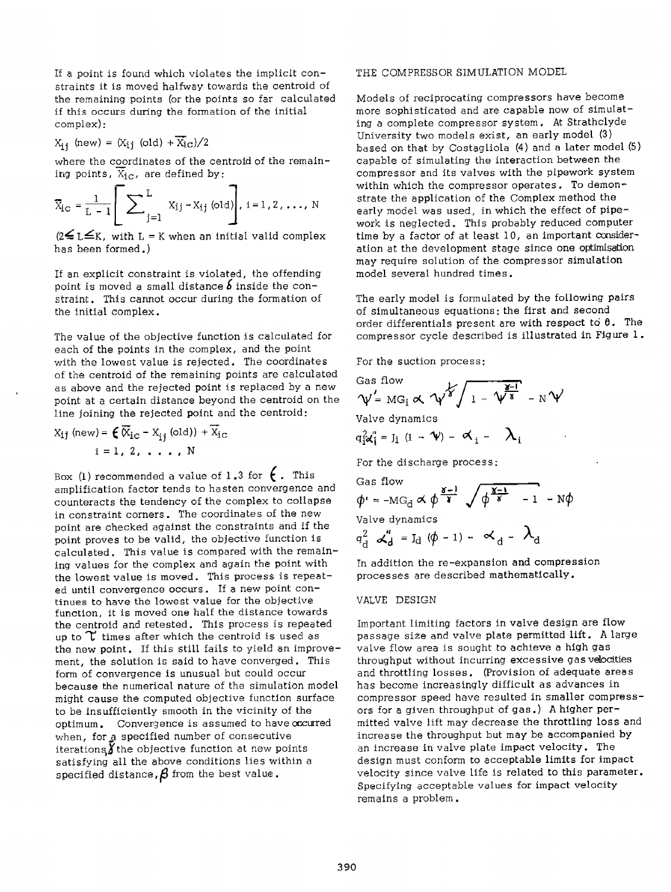If a point is found which violates the implicit constraints it is moved halfway towards the centroid of the remaining points (or the points so far calculated if this occurs during the formation of the initial complex):

$$
X_{ij} \text{ (new)} = (X_{ij} \text{ (old)} + X_{iC})/2
$$

where the coordinates of the centroid of the remaining points,  $\overline{X}_{i,C}$ , are defined by:

$$
\overline{X}_{i_{\mathbf{C}}} = \frac{1}{L-1} \left[ \sum_{j=1}^{L} x_{ij} - x_{ij} \text{ (old)} \right], i = 1, 2, ..., N
$$

 $(2 \leq L \leq K$ , with L = K when an initial valid complex has been formed.)

If an explicit constraint is violated, the offending point is moved a small distance *b* inside the constraint. This cannot occur during the formation of the initial complex.

The value of the objective function is calculated for each of the points in the complex, and the point with the lowest value is rejected. The coordinates of the centroid of the remaining points are calculated as above and the rejected point is replaced by a new point at a certain distance beyond the centroid on the line joining the rejected point and the centroid:

$$
X_{ij} \text{ (new)} = \xi \overline{X}_{ic} - X_{ij} \text{ (old)} + \overline{X}_{ic}
$$
  
i = 1, 2, ..., N

Box (1) recommended a value of 1.3 for  $\epsilon$ . This amplification factor tends to hasten convergence and counteracts the tendency of the complex to collapse in constraint corners. The coordinates of the new point are checked against the constraints and if the point proves to be valid, the objective function is calculated. This value is compared with the remaining values for the complex and again the point with the lowest value is moved. This process is repeated until convergence occurs. If a new point continues to have the lowest value for the objective function, it is moved one half the distance towards the centroid and retested. This process is repeated up to  $\Upsilon$  times after which the centroid is used as the new point. If this still fails to yield an improvement, the solution is said to have converged. This form of convergence is unusual but could occur because the numerical nature of the simulation model might cause the computed objective function surface to be insufficiently smooth in the vicinity of the optimum. Convergence is assumed to have occurred when, for a specified number of consecutive iterations, the objective function at new points satisfying all the above conditions lies within <sup>a</sup> specified distance,  $\beta$  from the best value.

# THE COMPRESSOR SIMULATION MODEL

Models of reciprocating compressors have become more sophisticated and are capable now of simulating a complete compressor system. At Strathclyde University two models exist, an early model (3) based on that by Costagliola (4) and a later model (5) capable of simulating the interaction between the compressor and its valves with the pipework system within which the compressor operates. To demonstrate the application of the Complex method the early model was used, in which the effect of pipework is neglected. This probably reduced computer time by a factor of at least 10, an important consideration at the development stage since one optimisation may require solution of the compressor simulation model several hundred times.

The early model is formulated by the following pairs of simultaneous equations: the first and second order differentials present are with respect to  $\theta$ . The compressor cycle described is illustrated in Figure 1.

For the suction process:

$$
\mathcal{N}' = \text{MG}_i \propto \sqrt{\gamma \sqrt{\gamma}} \sqrt{1 - \gamma \sqrt{\gamma} \sqrt{\gamma}} - N \gamma
$$

Valve dynamics

$$
q_{i}^{2} \mathbf{x}_{i}^{\prime \prime} = J_{i} (1 - \mathbf{V}) - \mathbf{x}_{i} - \lambda_{i}
$$

For the discharge process:

Gas flow  
\n
$$
\phi' = -MG_d \propto \phi \frac{\delta - 1}{r} \sqrt{\phi \frac{\delta - 1}{r} - 1} - N\phi
$$
\nValue dynamics  
\n
$$
q_d^2 \propto d \phi = J_d (\phi - 1) - \phi_d - \lambda_d
$$

In addition the re-expansion and compression processes are described mathematically.

#### VALVE DESIGN

Important limiting factors in valve design are flow passage size and valve plate permitted lift. A large valve flow area is sought to achieve a high gas throughput without incurring excessive gas velocities and throttling losses. (Provision of adequate areas has become increasingly difficult as advances in compressor speed have resulted in smaller compressors for a given throughput of gas.) A higher permitted valve lift may decrease the throttling loss and increase the throughput but may be accompanied by an increase in valve plate impact velocity. The design must conform to acceptable limits for impact velocity since valve life is related to this parameter. Specifying acceptable values for impact velocity remains a problem.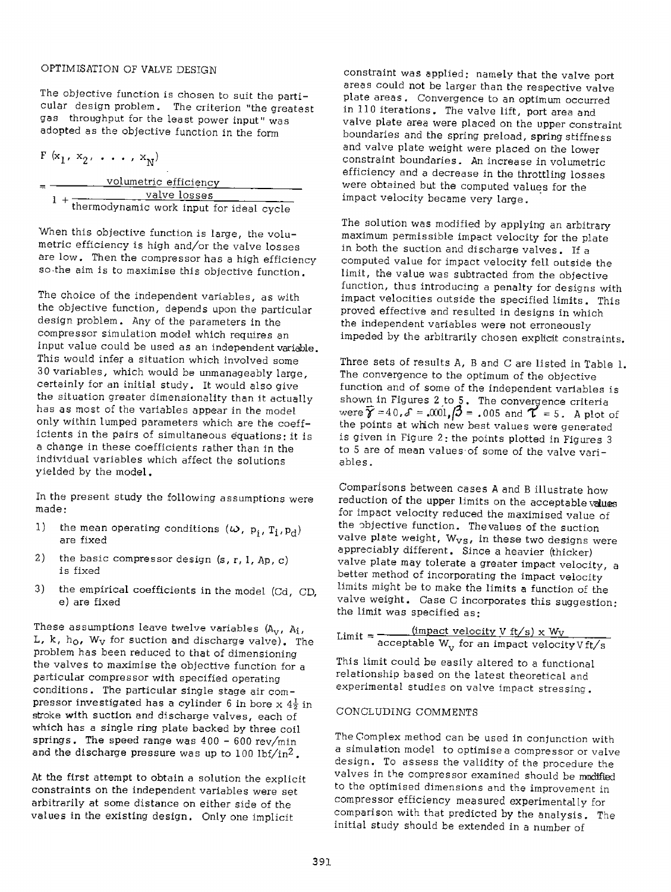# OPTIMISATION OF VALVE DESIGN

The objective function is chosen to suit the particular design problem. The criterion "the greatest gas throughput for the least power input" was adopted as the objective function in the form

 $F(x_1, x_2, \ldots, x_N)$ 

| <u>vo</u> lumetric efficiency |                                          |  |  |  |
|-------------------------------|------------------------------------------|--|--|--|
|                               | valve losses                             |  |  |  |
|                               | thermodynamic work input for ideal cycle |  |  |  |

When this objective function is large, the volumetric efficiency is high and/or the valve losses are low. Then the compressor has a high efficiency so the aim is to maximise this objective function.

The choice of the independent variables, as with the objective function, depends upon the particular design problem. Any of the parameters in the compressor simulation model which requires an input value could be used as an independent variable. This would infer a situation which involved some 3 0 variables, which would be unmanageably large, certainly for an initial study. It would also give the situation greater dimensionality than it actually has as most of the variables appear in the model only within lumped parameters which are the coefficients in the pairs of simultaneous equations: it is <sup>a</sup>change in these coefficients rather than in the individual variables which affect the solutions yielded by the model.

In the present study the following assumptions were made:

- 1) the mean operating conditions  $(\boldsymbol{\omega}, p_i, T_i, p_d)$ are fixed
- 2) the basic compressor design  $(s, r, 1, Ap, c)$ is fixed
- 3) the empirical coefficients in the model (Cd, CD, e) are fixed

These assumptions leave twelve variables  $(A_V, A_I,$ L, k,  $h_0$ , W<sub>V</sub> for suction and discharge valve). The problem has been reduced to that of dimensioning the valves to maximise the objective function for <sup>a</sup> particular compressor with specified operating conditions. The particular single stage air compressor investigated has a cylinder 6 in bore  $x \frac{4\frac{1}{2}}{n}$ stroke with suction and discharge valves, each of which has a single ring plate backed by three coil springs. The speed range was  $400 - 600$  rev/min and the discharge pressure was up *to* 100 lbf/in2.

At the first attempt to obtain a solution the explicit constraints on the independent variables were set arbitrarily at some distance on either side of the values in the existing design. Only one implicit

constraint was applied: namely that the valve port areas could not be larger than the respective valve <sup>p</sup>late areas. Convergence to an optimum occurred in 110 iterations. The valve lift, port area and valve plate area were placed on the upper constraint boundaries and the spring preload, spring stiffness and valve plate weight were placed on the lower constraint boundaries. An increase in volumetric efficiency and a decrease in the throttling losses were obtained but the computed values for the impact velocity became very large.

The solution was modified *by* applying an arbitrary maximum permissible impact velocity for the plate in both the suction and discharge valves. If <sup>a</sup> computed value for impact velocity fell outside the limit, the value was subtracted from the objective function, thus introducing a penalty for designs with impact velocities outside the specified limits. This proved effective and resulted in designs in which the independent variables were not erroneously impeded by the arbitrarily chosen explicit constraints.

Three sets of results A, B and C are listed in Table l. The convergence to the optimum of the objective function and of some of the independent variables is shown in Figures 2 to 5. The convergence criteria<br>were  $\widehat{\boldsymbol{\gamma}}$  =40, $\mathcal{S}$  = .001, $\boldsymbol{\beta}$  = .005 and  $\boldsymbol{\gamma}$  = 5. A plot of the points at which new best values were generated is given in Figure 2: the points plotted in Figures <sup>3</sup> to 5 are of mean values·of some of the valve variables.

Comparisons between cases A and B illustrate how reduction of the upper limits on the acceptable values for impact velocity reduced the maximised value of the objective function. Thevalues of the suction valve plate weight,  $W_{VS}$ , in these two designs were appreciably different. Since a heavier (thicker) valve plate may tolerate a greater impact velocity, <sup>a</sup> better method of incorporating the impact velocity limits might be to make the limits a function of the valve weight. Case C incorporates this suggestion: the limit was specified as:

Limit = 
$$
\frac{\text{(impact velocity V ft/s)} \times W_V}{\text{acceptable W_v}}
$$
 for an impact velocity V ft/s

This limit could be easily altered to a functional relationship based on the latest theoretical and experimental studies on valve impact stressing.

# CONCLUDING COMMENTS

The Complex method can be used in conjunction with a simulation model to optimise a compressor or valve design. To assess the validity of the procedure the valves in the compressor examined should be modified to the optimised dimensions and the improvement in compressor efficiency measured experimentally for comparison with that predicted by the analysis. The initial study should be extended in a number of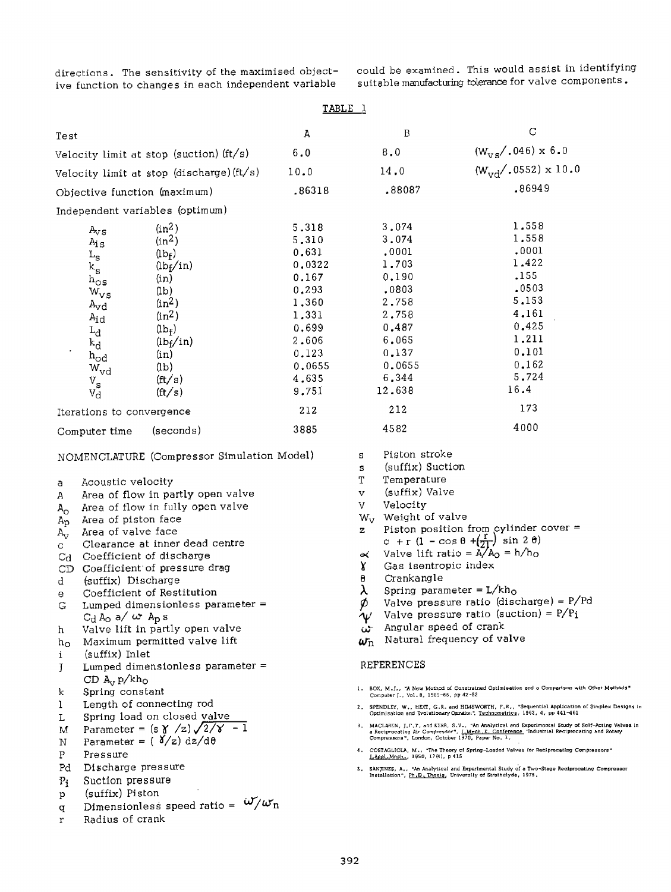directions. The sensitivity of the maximised objective function to changes in each independent variable

q r

Radius of crank

could be examined. This would assist in identifying suitable manufacturing tolerance for valve components.

| TABLE <sub>1</sub>                                                                                                                                                                                                                                                                                                                                                                                                                                                                                                                                                                                                                                                                                                                                                                                                                                                                                                                                     |        |                                                                                                                                                                                                                                                                                                                                                                                                                                                                                                                                                                                                                                                                                                                                                                                                                                                                                                                                                                                                                                                                                                                                                                                                                                                                                                                                                                                            |                                                               |  |  |
|--------------------------------------------------------------------------------------------------------------------------------------------------------------------------------------------------------------------------------------------------------------------------------------------------------------------------------------------------------------------------------------------------------------------------------------------------------------------------------------------------------------------------------------------------------------------------------------------------------------------------------------------------------------------------------------------------------------------------------------------------------------------------------------------------------------------------------------------------------------------------------------------------------------------------------------------------------|--------|--------------------------------------------------------------------------------------------------------------------------------------------------------------------------------------------------------------------------------------------------------------------------------------------------------------------------------------------------------------------------------------------------------------------------------------------------------------------------------------------------------------------------------------------------------------------------------------------------------------------------------------------------------------------------------------------------------------------------------------------------------------------------------------------------------------------------------------------------------------------------------------------------------------------------------------------------------------------------------------------------------------------------------------------------------------------------------------------------------------------------------------------------------------------------------------------------------------------------------------------------------------------------------------------------------------------------------------------------------------------------------------------|---------------------------------------------------------------|--|--|
| Test                                                                                                                                                                                                                                                                                                                                                                                                                                                                                                                                                                                                                                                                                                                                                                                                                                                                                                                                                   | А      | B                                                                                                                                                                                                                                                                                                                                                                                                                                                                                                                                                                                                                                                                                                                                                                                                                                                                                                                                                                                                                                                                                                                                                                                                                                                                                                                                                                                          | $\mathsf C$                                                   |  |  |
| Velocity limit at stop (suction) (ft/s)                                                                                                                                                                                                                                                                                                                                                                                                                                                                                                                                                                                                                                                                                                                                                                                                                                                                                                                | $6.0$  | 8.0                                                                                                                                                                                                                                                                                                                                                                                                                                                                                                                                                                                                                                                                                                                                                                                                                                                                                                                                                                                                                                                                                                                                                                                                                                                                                                                                                                                        | $(W_{VS} / .046) \times 6.0$                                  |  |  |
| Velocity limit at stop (discharge) (ft/s)                                                                                                                                                                                                                                                                                                                                                                                                                                                                                                                                                                                                                                                                                                                                                                                                                                                                                                              | 10.0   | 14.0                                                                                                                                                                                                                                                                                                                                                                                                                                                                                                                                                                                                                                                                                                                                                                                                                                                                                                                                                                                                                                                                                                                                                                                                                                                                                                                                                                                       | $(W_{vd}/.0552) \times 10.0$                                  |  |  |
| Objective function (maximum)                                                                                                                                                                                                                                                                                                                                                                                                                                                                                                                                                                                                                                                                                                                                                                                                                                                                                                                           | .86318 | .88087                                                                                                                                                                                                                                                                                                                                                                                                                                                                                                                                                                                                                                                                                                                                                                                                                                                                                                                                                                                                                                                                                                                                                                                                                                                                                                                                                                                     | .86949                                                        |  |  |
| Independent variables (optimum)                                                                                                                                                                                                                                                                                                                                                                                                                                                                                                                                                                                                                                                                                                                                                                                                                                                                                                                        |        |                                                                                                                                                                                                                                                                                                                                                                                                                                                                                                                                                                                                                                                                                                                                                                                                                                                                                                                                                                                                                                                                                                                                                                                                                                                                                                                                                                                            |                                                               |  |  |
|                                                                                                                                                                                                                                                                                                                                                                                                                                                                                                                                                                                                                                                                                                                                                                                                                                                                                                                                                        |        |                                                                                                                                                                                                                                                                                                                                                                                                                                                                                                                                                                                                                                                                                                                                                                                                                                                                                                                                                                                                                                                                                                                                                                                                                                                                                                                                                                                            | 1,558                                                         |  |  |
| $(in^2)$<br>$A_{\rm V, S}$                                                                                                                                                                                                                                                                                                                                                                                                                                                                                                                                                                                                                                                                                                                                                                                                                                                                                                                             | 5.318  | 3.074                                                                                                                                                                                                                                                                                                                                                                                                                                                                                                                                                                                                                                                                                                                                                                                                                                                                                                                                                                                                                                                                                                                                                                                                                                                                                                                                                                                      |                                                               |  |  |
| $(in^2)$<br>$A_{15}$                                                                                                                                                                                                                                                                                                                                                                                                                                                                                                                                                                                                                                                                                                                                                                                                                                                                                                                                   | 5.310  | 3,074                                                                                                                                                                                                                                                                                                                                                                                                                                                                                                                                                                                                                                                                                                                                                                                                                                                                                                                                                                                                                                                                                                                                                                                                                                                                                                                                                                                      | 1.558                                                         |  |  |
| $(lb_f)$<br>L <sub>s</sub>                                                                                                                                                                                                                                                                                                                                                                                                                                                                                                                                                                                                                                                                                                                                                                                                                                                                                                                             | 0.631  | .0001                                                                                                                                                                                                                                                                                                                                                                                                                                                                                                                                                                                                                                                                                                                                                                                                                                                                                                                                                                                                                                                                                                                                                                                                                                                                                                                                                                                      | .0001                                                         |  |  |
| $(h_f/in)$<br>$k_{\rm s}$                                                                                                                                                                                                                                                                                                                                                                                                                                                                                                                                                                                                                                                                                                                                                                                                                                                                                                                              | 0.0322 | 1.703                                                                                                                                                                                                                                                                                                                                                                                                                                                                                                                                                                                                                                                                                                                                                                                                                                                                                                                                                                                                                                                                                                                                                                                                                                                                                                                                                                                      | 1.422                                                         |  |  |
| (in)<br>$h_{\text{OS}}$                                                                                                                                                                                                                                                                                                                                                                                                                                                                                                                                                                                                                                                                                                                                                                                                                                                                                                                                | 0.167  | 0.190                                                                                                                                                                                                                                                                                                                                                                                                                                                                                                                                                                                                                                                                                                                                                                                                                                                                                                                                                                                                                                                                                                                                                                                                                                                                                                                                                                                      | .155                                                          |  |  |
| (1b)<br>$W_{VS}$                                                                                                                                                                                                                                                                                                                                                                                                                                                                                                                                                                                                                                                                                                                                                                                                                                                                                                                                       | 0.293  | .0803                                                                                                                                                                                                                                                                                                                                                                                                                                                                                                                                                                                                                                                                                                                                                                                                                                                                                                                                                                                                                                                                                                                                                                                                                                                                                                                                                                                      | .0503                                                         |  |  |
| $(in^2)$<br>$A_{\rm vd}$                                                                                                                                                                                                                                                                                                                                                                                                                                                                                                                                                                                                                                                                                                                                                                                                                                                                                                                               | 1,360  | 2.758                                                                                                                                                                                                                                                                                                                                                                                                                                                                                                                                                                                                                                                                                                                                                                                                                                                                                                                                                                                                                                                                                                                                                                                                                                                                                                                                                                                      | 5.153                                                         |  |  |
| $(in^2)$<br>$A_{\rm id}$                                                                                                                                                                                                                                                                                                                                                                                                                                                                                                                                                                                                                                                                                                                                                                                                                                                                                                                               | 1,331  | 2.758                                                                                                                                                                                                                                                                                                                                                                                                                                                                                                                                                                                                                                                                                                                                                                                                                                                                                                                                                                                                                                                                                                                                                                                                                                                                                                                                                                                      | 4.161                                                         |  |  |
| $(\text{lb}_f)$<br>$L_{\bf d}$                                                                                                                                                                                                                                                                                                                                                                                                                                                                                                                                                                                                                                                                                                                                                                                                                                                                                                                         | 0,699  | 0.487                                                                                                                                                                                                                                                                                                                                                                                                                                                                                                                                                                                                                                                                                                                                                                                                                                                                                                                                                                                                                                                                                                                                                                                                                                                                                                                                                                                      | 0.425                                                         |  |  |
| $(h_f/in)$<br>$k_{\rm d}$                                                                                                                                                                                                                                                                                                                                                                                                                                                                                                                                                                                                                                                                                                                                                                                                                                                                                                                              | 2,606  | 6.065                                                                                                                                                                                                                                                                                                                                                                                                                                                                                                                                                                                                                                                                                                                                                                                                                                                                                                                                                                                                                                                                                                                                                                                                                                                                                                                                                                                      | 1.211                                                         |  |  |
| (in)<br>$_{\rm{h_{od}}}$                                                                                                                                                                                                                                                                                                                                                                                                                                                                                                                                                                                                                                                                                                                                                                                                                                                                                                                               | 0.123  | 0.137                                                                                                                                                                                                                                                                                                                                                                                                                                                                                                                                                                                                                                                                                                                                                                                                                                                                                                                                                                                                                                                                                                                                                                                                                                                                                                                                                                                      | 0.101                                                         |  |  |
| $_{\rm (lb)}$<br>$\text{w}_{\text{vd}}$                                                                                                                                                                                                                                                                                                                                                                                                                                                                                                                                                                                                                                                                                                                                                                                                                                                                                                                | 0.0655 | 0.0655                                                                                                                                                                                                                                                                                                                                                                                                                                                                                                                                                                                                                                                                                                                                                                                                                                                                                                                                                                                                                                                                                                                                                                                                                                                                                                                                                                                     | 0,162                                                         |  |  |
| $({\rm ft/s})$<br>$V_{\rm s}$                                                                                                                                                                                                                                                                                                                                                                                                                                                                                                                                                                                                                                                                                                                                                                                                                                                                                                                          | 4,635  | 6.344                                                                                                                                                                                                                                                                                                                                                                                                                                                                                                                                                                                                                                                                                                                                                                                                                                                                                                                                                                                                                                                                                                                                                                                                                                                                                                                                                                                      | 5.724                                                         |  |  |
| $({\rm ft}/s)$<br>$V_{\rm d}$                                                                                                                                                                                                                                                                                                                                                                                                                                                                                                                                                                                                                                                                                                                                                                                                                                                                                                                          | 9.751  | 12.638                                                                                                                                                                                                                                                                                                                                                                                                                                                                                                                                                                                                                                                                                                                                                                                                                                                                                                                                                                                                                                                                                                                                                                                                                                                                                                                                                                                     | 16.4                                                          |  |  |
| Iterations to convergence                                                                                                                                                                                                                                                                                                                                                                                                                                                                                                                                                                                                                                                                                                                                                                                                                                                                                                                              | 212    | 212                                                                                                                                                                                                                                                                                                                                                                                                                                                                                                                                                                                                                                                                                                                                                                                                                                                                                                                                                                                                                                                                                                                                                                                                                                                                                                                                                                                        | 173                                                           |  |  |
| (seconds)<br>Computer time                                                                                                                                                                                                                                                                                                                                                                                                                                                                                                                                                                                                                                                                                                                                                                                                                                                                                                                             | 3885   | 4582                                                                                                                                                                                                                                                                                                                                                                                                                                                                                                                                                                                                                                                                                                                                                                                                                                                                                                                                                                                                                                                                                                                                                                                                                                                                                                                                                                                       | 4000                                                          |  |  |
| NOMENCLATURE (Compressor Simulation Model)<br>Acoustic velocity<br>а<br>Area of flow in partly open valve<br>А<br>Area of flow in fully open valve<br>$A_{\Omega}$<br>Area of piston face<br>Ap<br>Area of valve face<br>$A_{\rm V}$<br>Clearance at inner dead centre<br>C.<br>Coefficient of discharge<br>$_{\rm Cd}$<br>Coefficient of pressure drag<br>CD.<br>(suffix) Discharge<br>d<br>Coefficient of Restitution<br>е<br>Lumped dimensionless parameter =<br>G<br>$C_d$ A <sub>O</sub> a/ $\omega$ A <sub>p</sub> s<br>Valve lift in partly open valve<br>h<br>Maximum permitted valve lift<br>$h_{\rm O}$<br>(suffix) Inlet<br>i.<br>Lumped dimensionless parameter $=$<br>T<br>CD $A_v p/kh_0$<br>Spring constant<br>k<br>Length of connecting rod<br>L<br>Spring load on closed valve<br>L<br>Parameter = $(s \gamma /z) \sqrt{2/\gamma - 1}$<br>М<br>Parameter = $(\gamma /z) dz/d\theta$<br>N<br>Pressure<br>Ρ<br>Pd<br>Discharge pressure |        | (suffix) Suction<br>S.<br>Т<br>Temperature<br>(suffix) Valve<br>v<br>V<br>Velocity<br>W <sub>v</sub> Weight of valve<br>Piston position from cylinder cover =<br>z<br>c + r $(1 - \cos \theta + (\frac{r}{21}) \sin 2 \theta)$<br>Valve lift ratio = $A/A_0 = h/h_0$<br>$\sim$<br>Υ<br>Gas isentropic index<br>Crankangle<br>θ<br>λ<br>Spring parameter = $L/kh_0$<br>Valve pressure ratio (discharge) = $P/Pd$<br>Ø<br>Valve pressure ratio (suction) = $P/P_i$<br>$\bm{\psi}$<br>Angular speed of crank<br>$\omega_{\rm n}$ Natural frequency of valve<br>REFERENCES<br>1. BOX, M.J., "A New Method of Constrained Optimisation and a Comparison with Other Methods"<br>Computer J., Vol. 8, 1965-66, pp 42-52<br>2. SPENDLEY, W., HEXT. G.R. and HIMSWORTH, F.R., "Sequential Application of Simplex Designs in<br>Optimisation and Evolutionary Opration", Technometrics, 1962, 4, pp 441-461<br>3. MACLAREN, J.F.T. and KERR, S.V., "An Analytical and Experimental Study of Self-Acting Valves in<br>a Reciprocating Air Compressor", I.Mech.E. Conference, 'Industrial Reciprocating and Rotary<br>Compressors", London, October 1970, Paper No. 3.<br>4. COSTAGLIOLA, M., "The Theory of Spring-Loaded Valves for Reciprocating Compressors"<br>LAppl. Mech., 1950, 17(4), p 415<br>5. SANJINES, A., "An Analytical and Experimental Study of a Two-Stage Reciprocating Compressor |                                                               |  |  |
| Suction pressure<br>$P_1$                                                                                                                                                                                                                                                                                                                                                                                                                                                                                                                                                                                                                                                                                                                                                                                                                                                                                                                              |        |                                                                                                                                                                                                                                                                                                                                                                                                                                                                                                                                                                                                                                                                                                                                                                                                                                                                                                                                                                                                                                                                                                                                                                                                                                                                                                                                                                                            | Installation", Ph.D. Thosis, University of Strathclyde, 1975. |  |  |
| (suffix) Piston<br>p<br>Dimensionless speed ratio = $\omega/\omega_n$                                                                                                                                                                                                                                                                                                                                                                                                                                                                                                                                                                                                                                                                                                                                                                                                                                                                                  |        |                                                                                                                                                                                                                                                                                                                                                                                                                                                                                                                                                                                                                                                                                                                                                                                                                                                                                                                                                                                                                                                                                                                                                                                                                                                                                                                                                                                            |                                                               |  |  |
| α                                                                                                                                                                                                                                                                                                                                                                                                                                                                                                                                                                                                                                                                                                                                                                                                                                                                                                                                                      |        |                                                                                                                                                                                                                                                                                                                                                                                                                                                                                                                                                                                                                                                                                                                                                                                                                                                                                                                                                                                                                                                                                                                                                                                                                                                                                                                                                                                            |                                                               |  |  |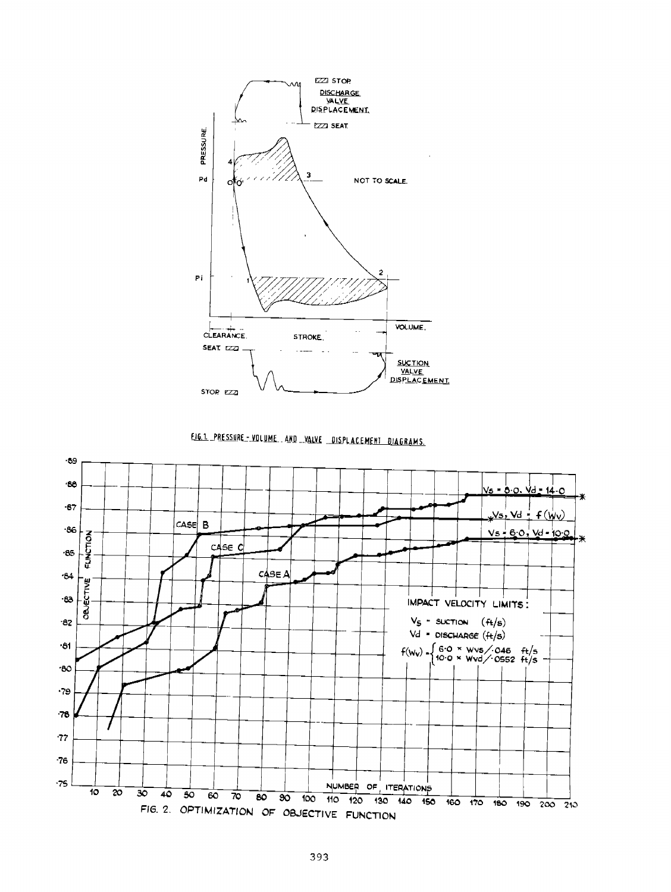

EIG.1 PRESSURE - VOLUME. AND -VALVE DISPLACEMENT DIAGRAMS.

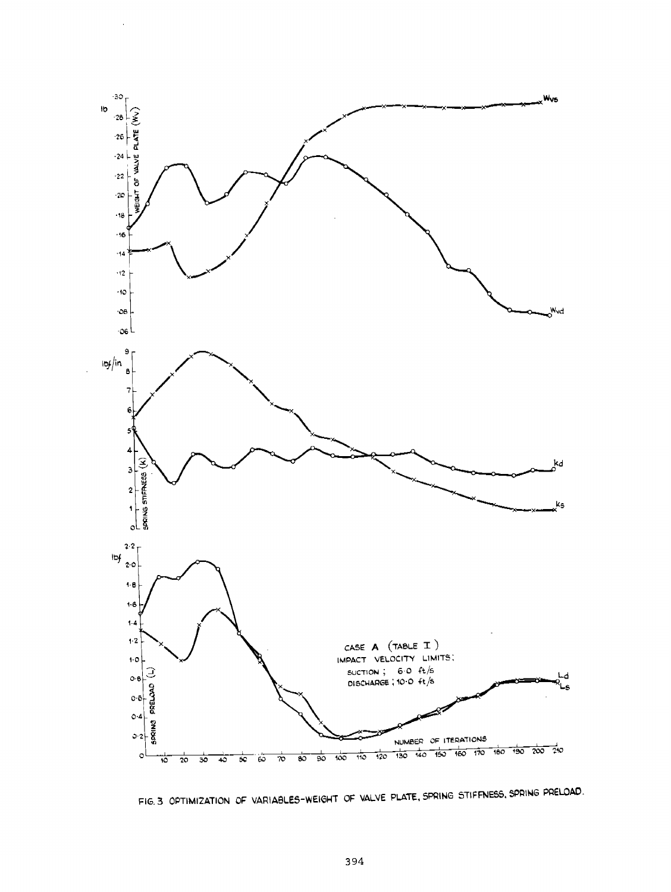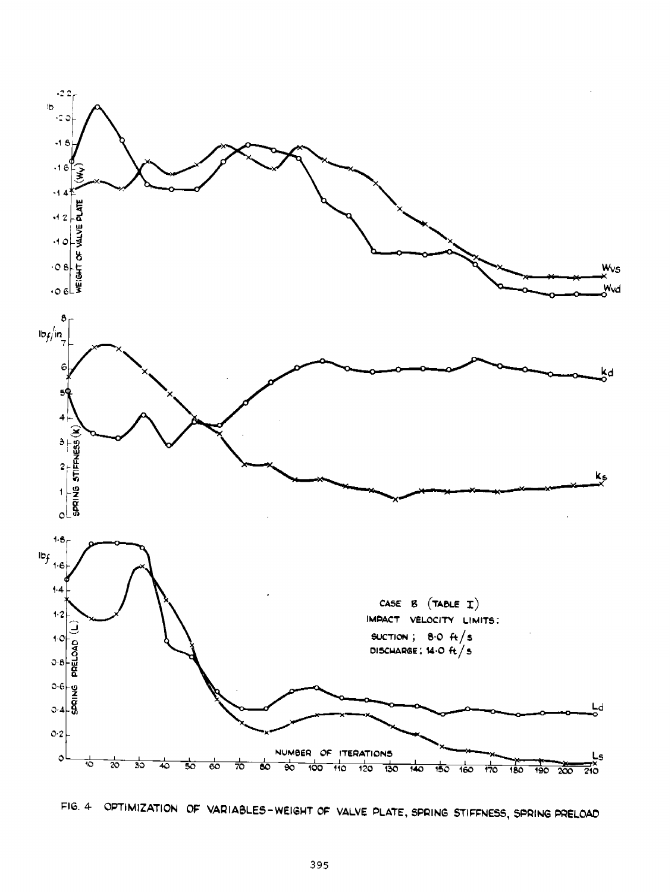

FIG. 4 OPTIMIZATION OF VARIABLES-WEIGHT OF VALVE PLATE, SPRING STIFFNESS, SPRING PRELOAD